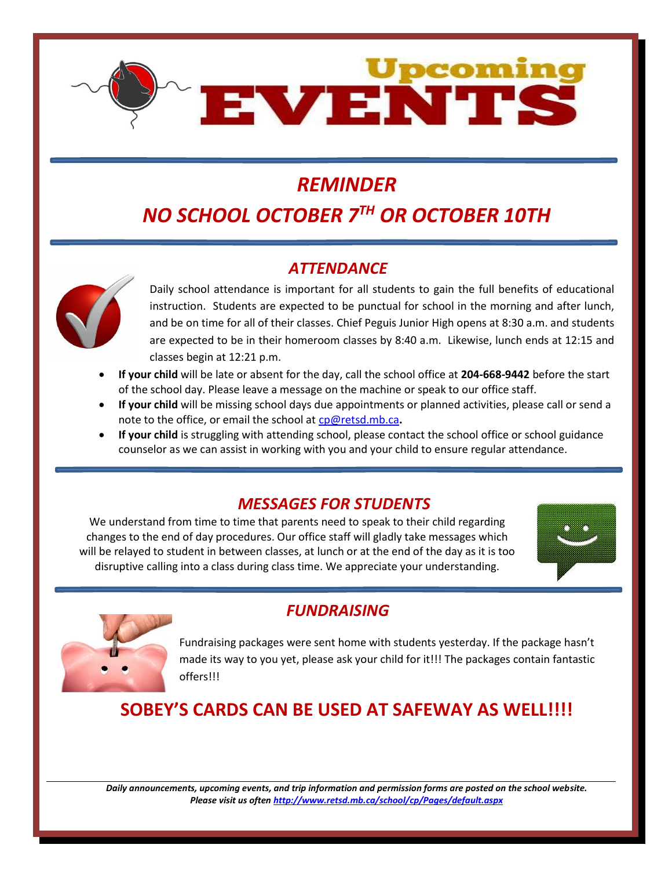

# *REMINDER*

# *NO SCHOOL OCTOBER 7 TH OR OCTOBER 10TH*

## *ATTENDANCE*



Daily school attendance is important for all students to gain the full benefits of educational instruction. Students are expected to be punctual for school in the morning and after lunch, and be on time for all of their classes. Chief Peguis Junior High opens at 8:30 a.m. and students are expected to be in their homeroom classes by 8:40 a.m. Likewise, lunch ends at 12:15 and classes begin at 12:21 p.m.

- **If your child** will be late or absent for the day, call the school office at **204-668-9442** before the start of the school day. Please leave a message on the machine or speak to our office staff.
- **If your child** will be missing school days due appointments or planned activities, please call or send a note to the office, or email the school at [cp@retsd.mb.ca](mailto:cp@retsd.mb.ca)**.**
- **If your child** is struggling with attending school, please contact the school office or school guidance counselor as we can assist in working with you and your child to ensure regular attendance.

### *MESSAGES FOR STUDENTS*

We understand from time to time that parents need to speak to their child regarding changes to the end of day procedures. Our office staff will gladly take messages which will be relayed to student in between classes, at lunch or at the end of the day as it is too disruptive calling into a class during class time. We appreciate your understanding.





## *FUNDRAISING*

Fundraising packages were sent home with students yesterday. If the package hasn't made its way to you yet, please ask your child for it!!! The packages contain fantastic offers!!!

## **SOBEY'S CARDS CAN BE USED AT SAFEWAY AS WELL!!!!**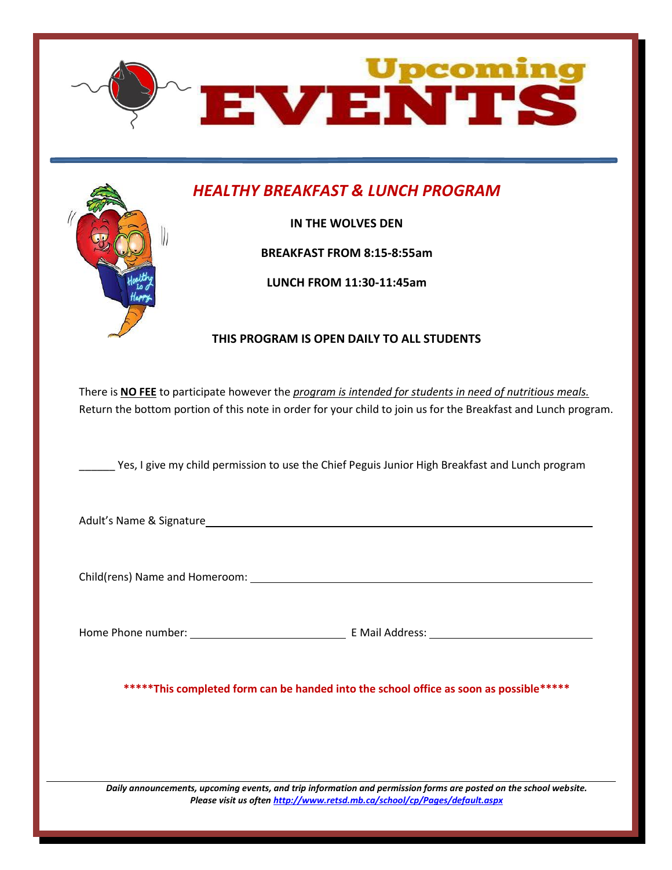

## *HEALTHY BREAKFAST & LUNCH PROGRAM*

**IN THE WOLVES DEN**

**BREAKFAST FROM 8:15-8:55am**

**LUNCH FROM 11:30-11:45am**

#### **THIS PROGRAM IS OPEN DAILY TO ALL STUDENTS**

There is **NO FEE** to participate however the *program is intended for students in need of nutritious meals.* Return the bottom portion of this note in order for your child to join us for the Breakfast and Lunch program.

\_\_\_\_\_\_ Yes, I give my child permission to use the Chief Peguis Junior High Breakfast and Lunch program

Adult's Name & Signature

Child(rens) Name and Homeroom:

Home Phone number: E Mail Address:

**\*\*\*\*\*This completed form can be handed into the school office as soon as possible\*\*\*\*\***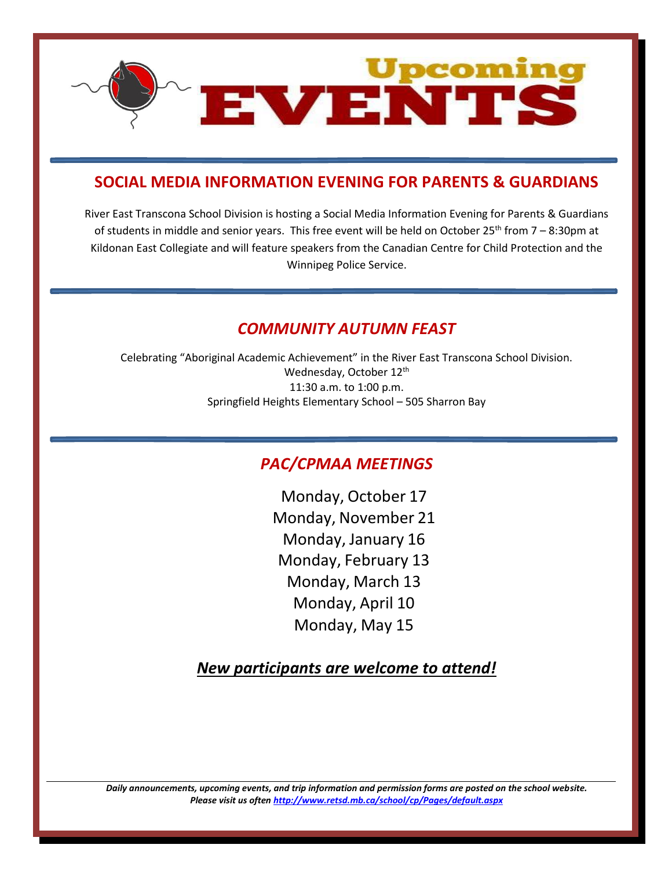

### **SOCIAL MEDIA INFORMATION EVENING FOR PARENTS & GUARDIANS**

River East Transcona School Division is hosting a Social Media Information Evening for Parents & Guardians of students in middle and senior years. This free event will be held on October 25<sup>th</sup> from 7 – 8:30pm at Kildonan East Collegiate and will feature speakers from the Canadian Centre for Child Protection and the Winnipeg Police Service.

### *COMMUNITY AUTUMN FEAST*

Celebrating "Aboriginal Academic Achievement" in the River East Transcona School Division. Wednesday, October 12<sup>th</sup> 11:30 a.m. to 1:00 p.m. Springfield Heights Elementary School – 505 Sharron Bay

## *PAC/CPMAA MEETINGS*

Monday, October 17 Monday, November 21 Monday, January 16 Monday, February 13 Monday, March 13 Monday, April 10 Monday, May 15

*New participants are welcome to attend!*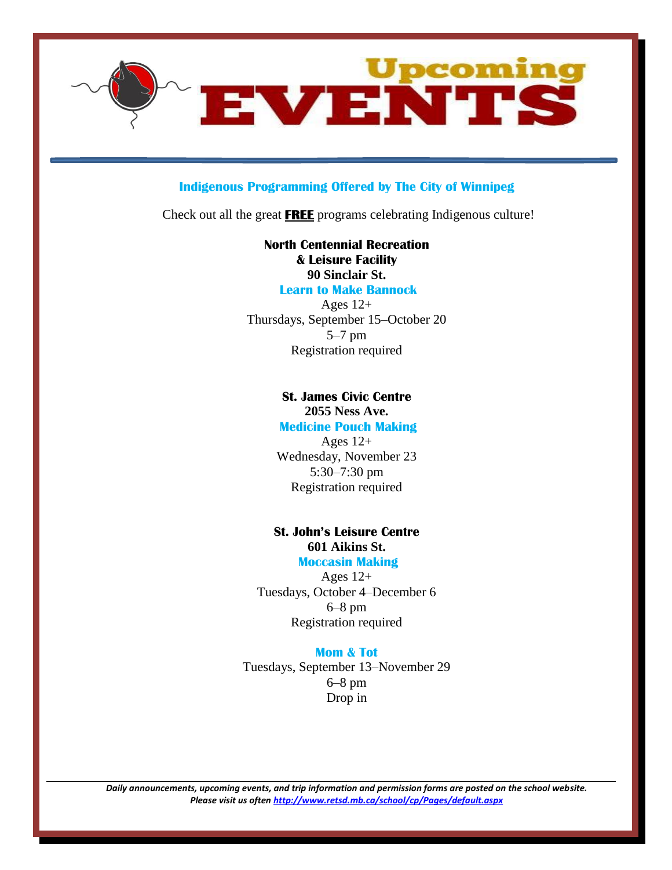

#### **Indigenous Programming Offered by The City of Winnipeg**

Check out all the great **FREE** programs celebrating Indigenous culture!

**North Centennial Recreation & Leisure Facility 90 Sinclair St. Learn to Make Bannock**

Ages  $12+$ Thursdays, September 15–October 20 5–7 pm Registration required

#### **St. James Civic Centre**

**2055 Ness Ave. Medicine Pouch Making** 

Ages  $12+$ Wednesday, November 23 5:30–7:30 pm Registration required

#### **St. John's Leisure Centre 601 Aikins St. Moccasin Making**

Ages  $12+$ Tuesdays, October 4–December 6 6–8 pm Registration required

#### **Mom & Tot**

Tuesdays, September 13–November 29 6–8 pm Drop in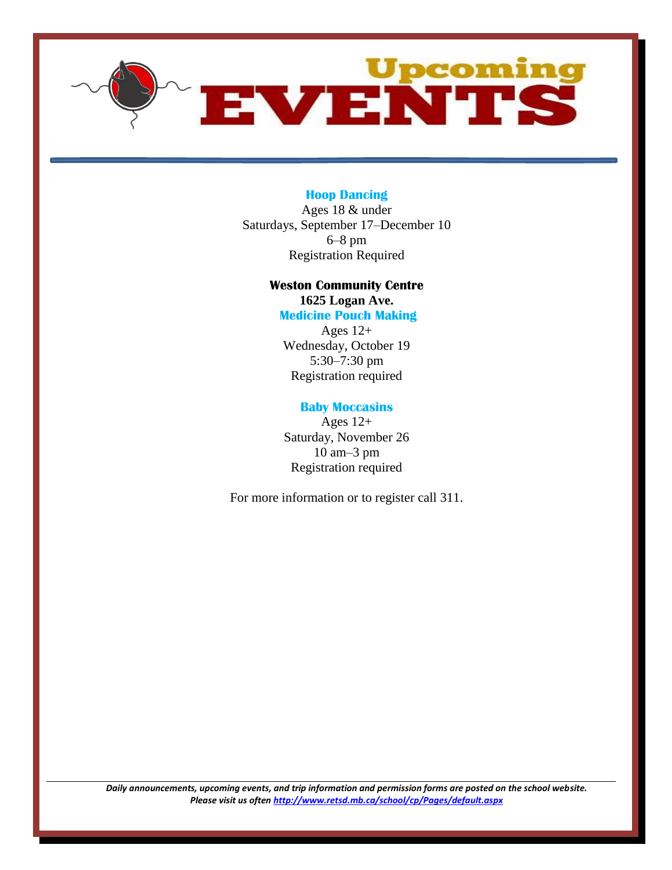

#### **Hoop Dancing**

Ages 18 & under Saturdays, September 17–December 10 6–8 pm Registration Required

## **Weston Community Centre**

**1625 Logan Ave.**

**Medicine Pouch Making** 

Ages  $12+$ Wednesday, October 19 5:30–7:30 pm Registration required

#### **Baby Moccasins**

Ages  $12+$ Saturday, November 26 10 am–3 pm Registration required

For more information or to register call 311.